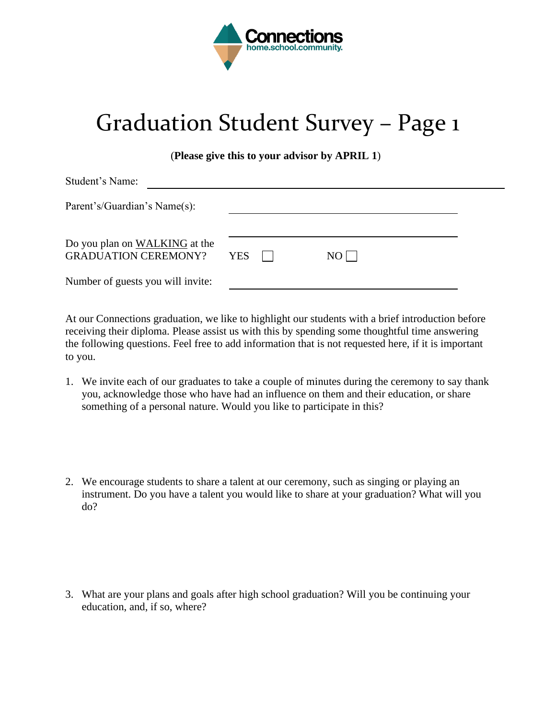

## Graduation Student Survey – Page 1

(**Please give this to your advisor by APRIL 1**)

| Student's Name:                                              |            |                |      |  |
|--------------------------------------------------------------|------------|----------------|------|--|
| Parent's/Guardian's Name(s):                                 |            |                |      |  |
| Do you plan on WALKING at the<br><b>GRADUATION CEREMONY?</b> | <b>YES</b> | $\blacksquare$ | $NO$ |  |
| Number of guests you will invite:                            |            |                |      |  |

At our Connections graduation, we like to highlight our students with a brief introduction before receiving their diploma. Please assist us with this by spending some thoughtful time answering the following questions. Feel free to add information that is not requested here, if it is important to you.

- 1. We invite each of our graduates to take a couple of minutes during the ceremony to say thank you, acknowledge those who have had an influence on them and their education, or share something of a personal nature. Would you like to participate in this?
- 2. We encourage students to share a talent at our ceremony, such as singing or playing an instrument. Do you have a talent you would like to share at your graduation? What will you do?

3. What are your plans and goals after high school graduation? Will you be continuing your education, and, if so, where?